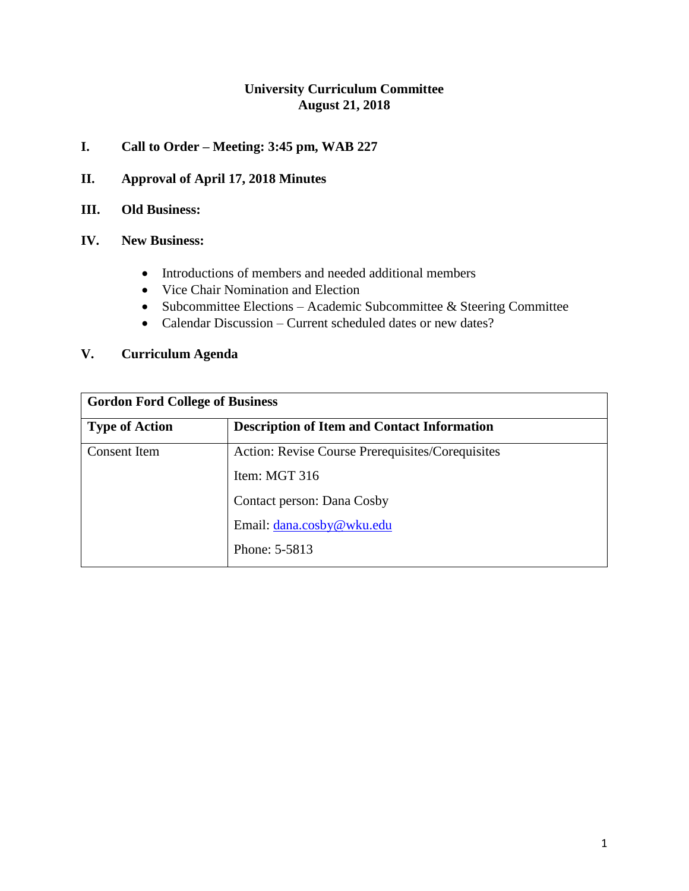# **University Curriculum Committee August 21, 2018**

# **I. Call to Order – Meeting: 3:45 pm, WAB 227**

- **II. Approval of April 17, 2018 Minutes**
- **III. Old Business:**
- **IV. New Business:**
	- Introductions of members and needed additional members
	- Vice Chair Nomination and Election
	- Subcommittee Elections Academic Subcommittee & Steering Committee
	- Calendar Discussion Current scheduled dates or new dates?

## **V. Curriculum Agenda**

| <b>Gordon Ford College of Business</b> |                                                    |  |
|----------------------------------------|----------------------------------------------------|--|
| <b>Type of Action</b>                  | <b>Description of Item and Contact Information</b> |  |
| Consent Item                           | Action: Revise Course Prerequisites/Corequisites   |  |
|                                        | Item: MGT 316                                      |  |
|                                        | Contact person: Dana Cosby                         |  |
|                                        | Email: dana.cosby@wku.edu                          |  |
|                                        | Phone: 5-5813                                      |  |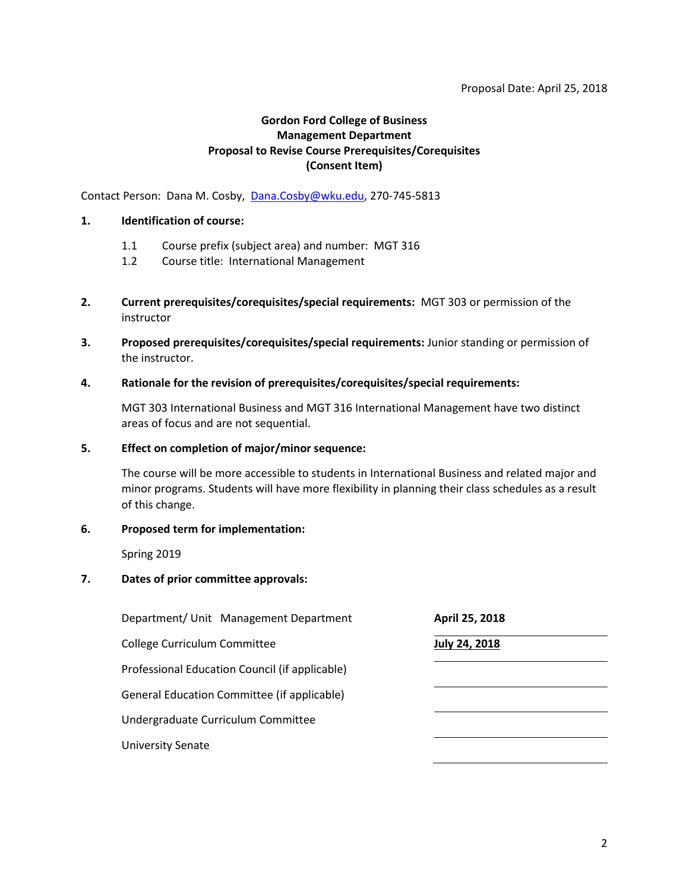## **Gordon Ford College of Business Management Department Proposal to Revise Course Prerequisites/Corequisites (Consent Item)**

Contact Person: Dana M. Cosby, [Dana.Cosby@wku.edu,](mailto:Dana.Cosby@wku.edu) 270-745-5813

#### **1. Identification of course:**

- 1.1 Course prefix (subject area) and number: MGT 316
- 1.2 Course title: International Management
- **2. Current prerequisites/corequisites/special requirements:** MGT 303 or permission of the instructor
- **3. Proposed prerequisites/corequisites/special requirements:** Junior standing or permission of the instructor.
- **4. Rationale for the revision of prerequisites/corequisites/special requirements:**

MGT 303 International Business and MGT 316 International Management have two distinct areas of focus and are not sequential.

#### **5. Effect on completion of major/minor sequence:**

The course will be more accessible to students in International Business and related major and minor programs. Students will have more flexibility in planning their class schedules as a result of this change.

### **6. Proposed term for implementation:**

Spring 2019

### **7. Dates of prior committee approvals:**

| Department/ Unit Management Department         | April 25, 2018       |
|------------------------------------------------|----------------------|
| College Curriculum Committee                   | <b>July 24, 2018</b> |
| Professional Education Council (if applicable) |                      |
| General Education Committee (if applicable)    |                      |
| Undergraduate Curriculum Committee             |                      |
| <b>University Senate</b>                       |                      |